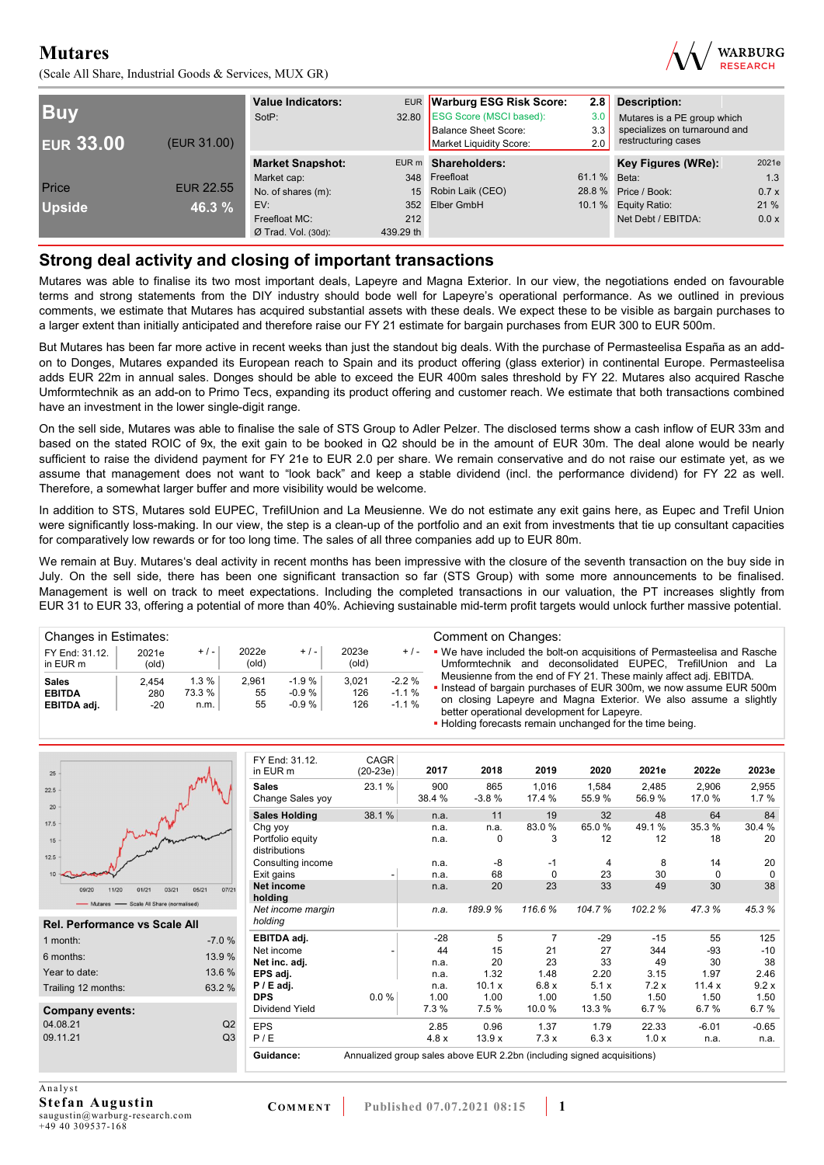(Scale All Share, Industrial Goods & Services, MUX GR)



| <b>Buy</b><br><b>EUR 33.00</b> | (EUR 31.00)      | <b>Value Indicators:</b><br>SotP: |           | EUR Warburg ESG Risk Score:<br>32.80 ESG Score (MSCI based):<br><b>Balance Sheet Score:</b><br>Market Liquidity Score: | 2.8<br>3.0<br>3.3<br>2.0 | <b>Description:</b><br>Mutares is a PE group which<br>specializes on turnaround and<br>restructuring cases |       |
|--------------------------------|------------------|-----------------------------------|-----------|------------------------------------------------------------------------------------------------------------------------|--------------------------|------------------------------------------------------------------------------------------------------------|-------|
|                                |                  | <b>Market Snapshot:</b>           |           | EUR m Shareholders:                                                                                                    |                          | Key Figures (WRe):                                                                                         | 2021e |
|                                |                  | Market cap:                       |           | 348 Freefloat                                                                                                          | 61.1 % Beta:             |                                                                                                            | 1.3   |
| Price                          | <b>EUR 22.55</b> | No. of shares (m):                | 15        | Robin Laik (CEO)                                                                                                       |                          | 28.8 % Price / Book:                                                                                       | 0.7x  |
| <b>Upside</b>                  | 46.3 %           | EV:                               | 352       | Elber GmbH                                                                                                             |                          | 10.1 % Equity Ratio:                                                                                       | 21%   |
|                                |                  | Freefloat MC:                     | 212       |                                                                                                                        |                          | Net Debt / EBITDA:                                                                                         | 0.0 x |
|                                |                  | $Ø$ Trad. Vol. (30d):             | 439.29 th |                                                                                                                        |                          |                                                                                                            |       |

### **Strong deal activity and closing of important transactions**

Mutares was able to finalise its two most important deals, Lapeyre and Magna Exterior. In our view, the negotiations ended on favourable terms and strong statements from the DIY industry should bode well for Lapeyre's operational performance. As we outlined in previous comments, we estimate that Mutares has acquired substantial assets with these deals. We expect these to be visible as bargain purchases to a larger extent than initially anticipated and therefore raise our FY 21 estimate for bargain purchases from EUR 300 to EUR 500m.

But Mutares has been far more active in recent weeks than just the standout big deals. With the purchase of Permasteelisa España as an addon to Donges, Mutares expanded its European reach to Spain and its product offering (glass exterior) in continental Europe. Permasteelisa adds EUR 22m in annual sales. Donges should be able to exceed the EUR 400m sales threshold by FY 22. Mutares also acquired Rasche Umformtechnik as an add-on to Primo Tecs, expanding its product offering and customer reach. We estimate that both transactions combined have an investment in the lower single-digit range.

On the sell side, Mutares was able to finalise the sale of STS Group to Adler Pelzer. The disclosed terms show a cash inflow of EUR 33m and based on the stated ROIC of 9x, the exit gain to be booked in Q2 should be in the amount of EUR 30m. The deal alone would be nearly sufficient to raise the dividend payment for FY 21e to EUR 2.0 per share. We remain conservative and do not raise our estimate yet, as we assume that management does not want to "look back" and keep a stable dividend (incl. the performance dividend) for FY 22 as well. Therefore, a somewhat larger buffer and more visibility would be welcome.

In addition to STS, Mutares sold EUPEC, TrefilUnion and La Meusienne. We do not estimate any exit gains here, as Eupec and Trefil Union were significantly loss-making. In our view, the step is a clean-up of the portfolio and an exit from investments that tie up consultant capacities for comparatively low rewards or for too long time. The sales of all three companies add up to EUR 80m.

We remain at Buy. Mutares's deal activity in recent months has been impressive with the closure of the seventh transaction on the buy side in July. On the sell side, there has been one significant transaction so far (STS Group) with some more announcements to be finalised. Management is well on track to meet expectations. Including the completed transactions in our valuation, the PT increases slightly from EUR 31 to EUR 33, offering a potential of more than 40%. Achieving sustainable mid-term profit targets would unlock further massive potential.

| Changes in Estimates:                        |                         |                           |                         |                              |                     |                               | Comment on Changes:                                                                                                                                                                                                                                        |
|----------------------------------------------|-------------------------|---------------------------|-------------------------|------------------------------|---------------------|-------------------------------|------------------------------------------------------------------------------------------------------------------------------------------------------------------------------------------------------------------------------------------------------------|
| FY End: 31.12.<br>in EUR m                   | 2021e<br>$\text{(old)}$ | $+/-$                     | 2022e<br>$\text{(old)}$ | $+$ / $-$                    | 2023e<br>(old)      | $+/-$                         | • We have included the bolt-on acquisitions of Permasteelisa and Rasche<br>Umformtechnik and deconsolidated EUPEC. TrefilUnion and La                                                                                                                      |
| <b>Sales</b><br><b>EBITDA</b><br>EBITDA adj. | 2.454<br>280<br>-20     | 1.3%<br>$73.3 \%$<br>n.m. | 2.961<br>55<br>55       | $-1.9%$<br>$-0.9%$<br>-0.9 % | 3.021<br>126<br>126 | $-2.2%$<br>$-1.1%$<br>$-1.1%$ | Meusienne from the end of FY 21. These mainly affect adj. EBITDA.<br>. Instead of bargain purchases of EUR 300m, we now assume EUR 500m<br>on closing Lapeyre and Magna Exterior. We also assume a slightly<br>better operational development for Lapeyre. |

**• Holding forecasts remain unchanged for the time being.** 

| 25                                                                         |                | FY End: 31.12.<br>in EUR m        | CAGR<br>$(20-23e)$                                                     | 2017          | 2018           | 2019            | 2020           | 2021e          | 2022e          | 2023e         |
|----------------------------------------------------------------------------|----------------|-----------------------------------|------------------------------------------------------------------------|---------------|----------------|-----------------|----------------|----------------|----------------|---------------|
| 22.5<br>20                                                                 |                | <b>Sales</b><br>Change Sales yoy  | 23.1%                                                                  | 900<br>38.4 % | 865<br>$-3.8%$ | 1,016<br>17.4 % | 1,584<br>55.9% | 2.485<br>56.9% | 2,906<br>17.0% | 2,955<br>1.7% |
|                                                                            |                | <b>Sales Holding</b>              | 38.1%                                                                  | n.a.          | 11             | 19              | 32             | 48             | 64             | 84            |
| 17.5                                                                       |                | Chg yoy                           |                                                                        | n.a.          | n.a.           | 83.0%           | 65.0%          | 49.1 %         | 35.3%          | 30.4 %        |
| 15<br>12.5                                                                 |                | Portfolio equity<br>distributions |                                                                        | n.a.          | 0              | 3               | 12             | 12             | 18             | 20            |
|                                                                            |                | Consulting income                 |                                                                        | n.a.          | $-8$           | -1              | 4              | 8              | 14             | 20            |
| 10                                                                         |                | Exit gains                        |                                                                        | n.a.          | 68             | $\Omega$        | 23             | 30             | 0              | $\Omega$      |
| 05/21<br>03/21<br>11/20<br>01/21<br>09/2<br>- Scale All Share (normalised) | 07/21          | Net income<br>holding             |                                                                        | n.a.          | 20             | 23              | 33             | 49             | 30             | 38            |
| Mutares<br><b>Rel. Performance vs Scale All</b>                            |                | Net income margin<br>holding      |                                                                        | n.a.          | 189.9%         | 116.6%          | 104.7%         | 102.2%         | 47.3%          | 45.3%         |
| 1 month:                                                                   | $-7.0%$        | EBITDA adj.                       |                                                                        | $-28$         | 5              | $\overline{7}$  | $-29$          | $-15$          | 55             | 125           |
|                                                                            |                | Net income                        |                                                                        | 44            | 15             | 21              | 27             | 344            | $-93$          | $-10$         |
| 6 months:                                                                  | 13.9 %         | Net inc. adj.                     |                                                                        | n.a.          | 20             | 23              | 33             | 49             | 30             | 38            |
| Year to date:                                                              | 13.6 %         | EPS adj.                          |                                                                        | n.a.          | 1.32           | 1.48            | 2.20           | 3.15           | 1.97           | 2.46          |
| Trailing 12 months:                                                        | 63.2 %         | $P / E$ adj.                      |                                                                        | n.a.          | 10.1 x         | 6.8x            | 5.1x           | 7.2x           | 11.4x          | 9.2x          |
|                                                                            |                | <b>DPS</b>                        | 0.0%                                                                   | 1.00          | 1.00           | 1.00            | 1.50           | 1.50           | 1.50           | 1.50          |
| <b>Company events:</b>                                                     |                | <b>Dividend Yield</b>             |                                                                        | 7.3%          | 7.5%           | 10.0%           | 13.3 %         | 6.7%           | 6.7%           | 6.7%          |
| 04.08.21                                                                   | Q2             | <b>EPS</b>                        |                                                                        | 2.85          | 0.96           | 1.37            | 1.79           | 22.33          | $-6.01$        | $-0.65$       |
| 09.11.21                                                                   | Q <sub>3</sub> | P/E                               |                                                                        | 4.8x          | 13.9x          | 7.3x            | 6.3x           | 1.0x           | n.a.           | n.a.          |
|                                                                            |                | Guidance:                         | Annualized group sales above EUR 2.2bn (including signed acquisitions) |               |                |                 |                |                |                |               |

A nalvst **Stefan Augustin**  saugustin@warburg-research.com +49 40 309537-168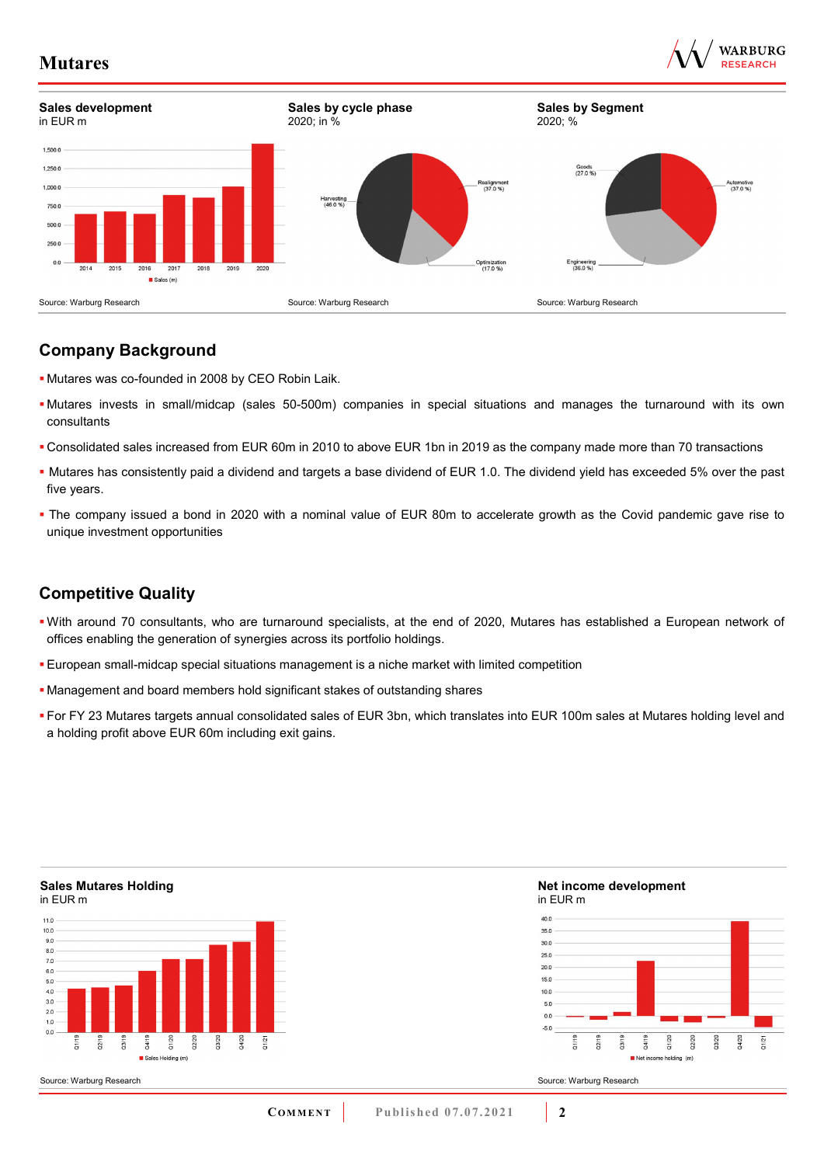

13/20 14/20

22/20



## **Company Background**

- Mutares was co-founded in 2008 by CEO Robin Laik.
- Mutares invests in small/midcap (sales 50-500m) companies in special situations and manages the turnaround with its own consultants
- Consolidated sales increased from EUR 60m in 2010 to above EUR 1bn in 2019 as the company made more than 70 transactions
- Mutares has consistently paid a dividend and targets a base dividend of EUR 1.0. The dividend yield has exceeded 5% over the past five years.
- The company issued a bond in 2020 with a nominal value of EUR 80m to accelerate growth as the Covid pandemic gave rise to unique investment opportunities

## **Competitive Quality**

- With around 70 consultants, who are turnaround specialists, at the end of 2020, Mutares has established a European network of offices enabling the generation of synergies across its portfolio holdings.
- European small-midcap special situations management is a niche market with limited competition
- Management and board members hold significant stakes of outstanding shares
- For FY 23 Mutares targets annual consolidated sales of EUR 3bn, which translates into EUR 100m sales at Mutares holding level and a holding profit above EUR 60m including exit gains.

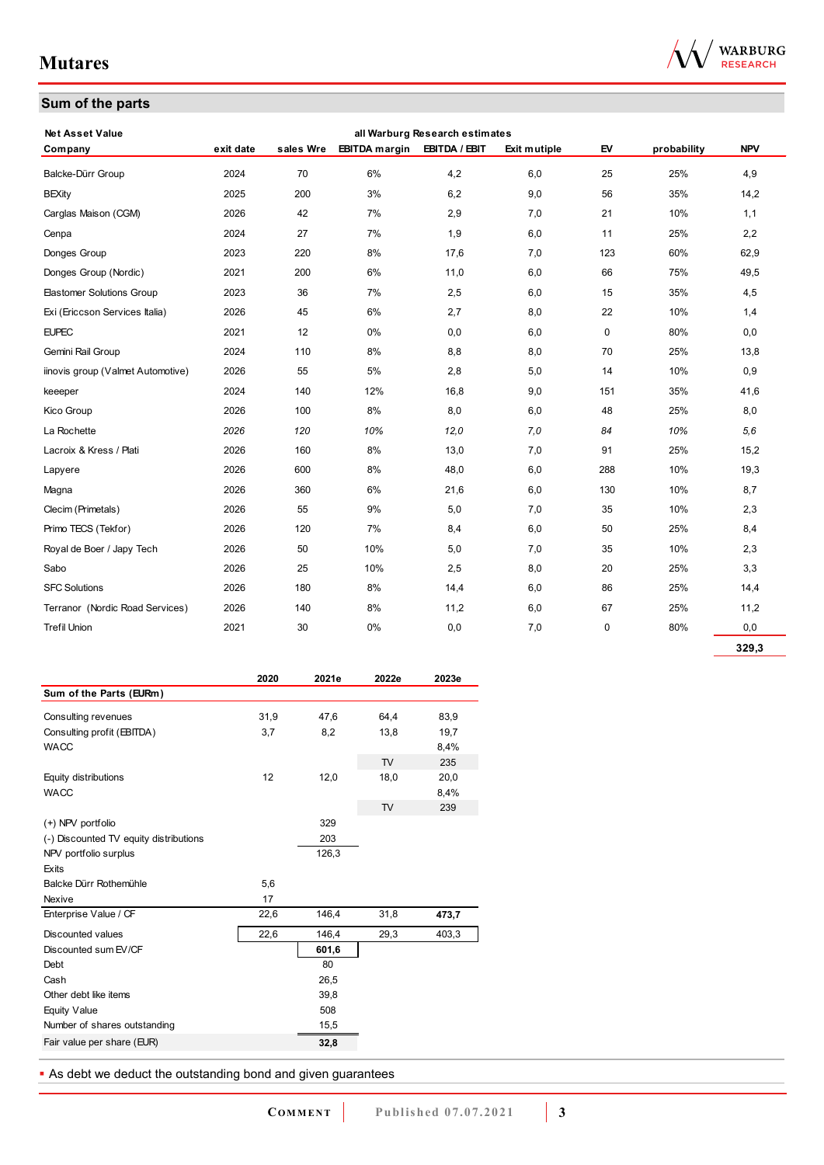## **Sum of the parts**

| <b>Net Asset Value</b>            |           |           |                      | all Warburg Research estimates |              |     |             |            |
|-----------------------------------|-----------|-----------|----------------------|--------------------------------|--------------|-----|-------------|------------|
| Company                           | exit date | sales Wre | <b>EBITDA</b> margin | EBITDA / EBIT                  | Exit mutiple | EV  | probability | <b>NPV</b> |
| Balcke-Dürr Group                 | 2024      | 70        | 6%                   | 4,2                            | 6,0          | 25  | 25%         | 4,9        |
| <b>BEXity</b>                     | 2025      | 200       | 3%                   | 6,2                            | 9,0          | 56  | 35%         | 14,2       |
| Carglas Maison (CGM)              | 2026      | 42        | 7%                   | 2,9                            | 7,0          | 21  | 10%         | 1,1        |
| Cenpa                             | 2024      | 27        | 7%                   | 1,9                            | 6,0          | 11  | 25%         | 2,2        |
| Donges Group                      | 2023      | 220       | 8%                   | 17,6                           | 7,0          | 123 | 60%         | 62,9       |
| Donges Group (Nordic)             | 2021      | 200       | 6%                   | 11,0                           | 6,0          | 66  | 75%         | 49,5       |
| <b>Elastomer Solutions Group</b>  | 2023      | 36        | 7%                   | 2,5                            | 6,0          | 15  | 35%         | 4,5        |
| Exi (Ericcson Services Italia)    | 2026      | 45        | 6%                   | 2,7                            | 8,0          | 22  | 10%         | 1,4        |
| <b>EUPEC</b>                      | 2021      | 12        | 0%                   | 0,0                            | 6,0          | 0   | 80%         | 0,0        |
| Gemini Rail Group                 | 2024      | 110       | 8%                   | 8,8                            | 8,0          | 70  | 25%         | 13,8       |
| iinovis group (Valmet Automotive) | 2026      | 55        | 5%                   | 2,8                            | 5,0          | 14  | 10%         | 0,9        |
| keeeper                           | 2024      | 140       | 12%                  | 16,8                           | 9,0          | 151 | 35%         | 41,6       |
| Kico Group                        | 2026      | 100       | 8%                   | 8,0                            | 6,0          | 48  | 25%         | 8,0        |
| La Rochette                       | 2026      | 120       | 10%                  | 12,0                           | 7,0          | 84  | 10%         | 5,6        |
| Lacroix & Kress / Plati           | 2026      | 160       | 8%                   | 13,0                           | 7,0          | 91  | 25%         | 15,2       |
| Lapyere                           | 2026      | 600       | 8%                   | 48,0                           | 6,0          | 288 | 10%         | 19,3       |
| Magna                             | 2026      | 360       | 6%                   | 21,6                           | 6,0          | 130 | 10%         | 8,7        |
| Clecim (Primetals)                | 2026      | 55        | 9%                   | 5,0                            | 7,0          | 35  | 10%         | 2,3        |
| Primo TECS (Tekfor)               | 2026      | 120       | 7%                   | 8,4                            | 6,0          | 50  | 25%         | 8,4        |
| Royal de Boer / Japy Tech         | 2026      | 50        | 10%                  | 5,0                            | 7,0          | 35  | 10%         | 2,3        |
| Sabo                              | 2026      | 25        | 10%                  | 2,5                            | 8,0          | 20  | 25%         | 3,3        |
| <b>SFC Solutions</b>              | 2026      | 180       | 8%                   | 14,4                           | 6,0          | 86  | 25%         | 14,4       |
| Terranor (Nordic Road Services)   | 2026      | 140       | 8%                   | 11,2                           | 6,0          | 67  | 25%         | 11,2       |
| <b>Trefil Union</b>               | 2021      | 30        | 0%                   | 0,0                            | 7,0          | 0   | 80%         | 0,0        |

|                                        | 2020 | 2021e | 2022e | 2023e |
|----------------------------------------|------|-------|-------|-------|
| Sum of the Parts (EURm)                |      |       |       |       |
| Consulting revenues                    | 31,9 | 47,6  | 64,4  | 83,9  |
| Consulting profit (EBITDA)             | 3,7  | 8,2   | 13,8  | 19,7  |
| WACC                                   |      |       |       | 8,4%  |
|                                        |      |       | TV    | 235   |
| Equity distributions                   | 12   | 12,0  | 18,0  | 20,0  |
| <b>WACC</b>                            |      |       |       | 8,4%  |
|                                        |      |       | TV    | 239   |
| (+) NPV portfolio                      |      | 329   |       |       |
| (-) Discounted TV equity distributions |      | 203   |       |       |
| NPV portfolio surplus                  |      | 126,3 |       |       |
| Exits                                  |      |       |       |       |
| Balcke Dürr Rothemühle                 | 5,6  |       |       |       |
| Nexive                                 | 17   |       |       |       |
| Enterprise Value / CF                  | 22,6 | 146,4 | 31,8  | 473,7 |
| Discounted values                      | 22,6 | 146,4 | 29,3  | 403,3 |
| Discounted sum EV/CF                   |      | 601,6 |       |       |
| Debt                                   |      | 80    |       |       |
| Cash                                   |      | 26,5  |       |       |
| Other debt like items                  |      | 39,8  |       |       |
| <b>Equity Value</b>                    |      | 508   |       |       |
| Number of shares outstanding           |      | 15,5  |       |       |
| Fair value per share (EUR)             |      | 32,8  |       |       |

**As debt we deduct the outstanding bond and given guarantees** 



**329,3**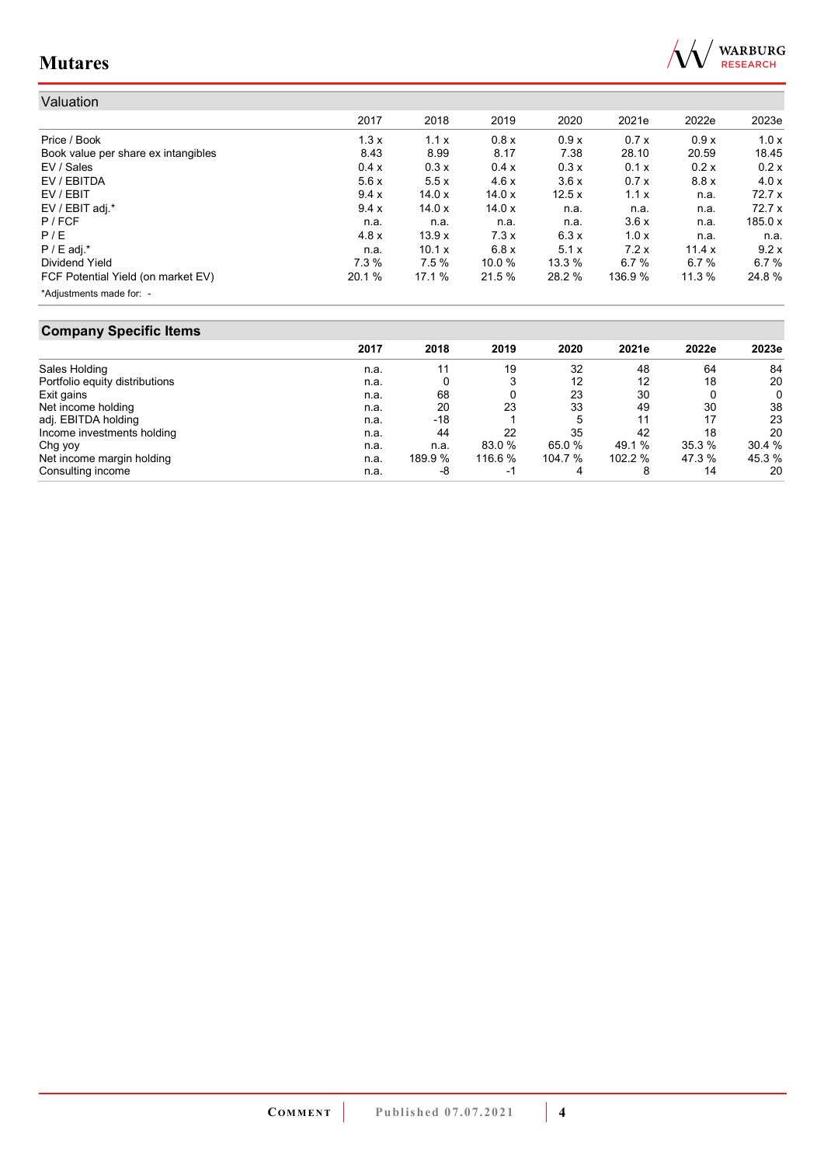

| Valuation                           |        |               |        |        |         |        |           |
|-------------------------------------|--------|---------------|--------|--------|---------|--------|-----------|
|                                     | 2017   | 2018          | 2019   | 2020   | 2021e   | 2022e  | 2023e     |
| Price / Book                        | 1.3x   | 1.1x          | 0.8x   | 0.9x   | 0.7x    | 0.9x   | 1.0x      |
| Book value per share ex intangibles | 8.43   | 8.99          | 8.17   | 7.38   | 28.10   | 20.59  | 18.45     |
| EV / Sales                          | 0.4 x  | 0.3x          | 0.4x   | 0.3x   | 0.1 x   | 0.2x   | 0.2x      |
| EV / EBITDA                         | 5.6x   | 5.5x          | 4.6x   | 3.6x   | 0.7x    | 8.8x   | 4.0x      |
| EV / EBIT                           | 9.4x   | 14.0x         | 14.0x  | 12.5x  | 1.1x    | n.a.   | 72.7x     |
| EV / EBIT adj.*                     | 9.4x   | 14.0x         | 14.0x  | n.a.   | n.a.    | n.a.   | 72.7 x    |
| P / FCF                             | n.a.   | n.a.          | n.a.   | n.a.   | 3.6x    | n.a.   | 185.0 $x$ |
| P/E                                 | 4.8x   | 13.9x         | 7.3x   | 6.3x   | 1.0x    | n.a.   | n.a.      |
| $P / E$ adj.*                       | n.a.   | 10.1 $\times$ | 6.8x   | 5.1x   | 7.2x    | 11.4 x | 9.2x      |
| Dividend Yield                      | 7.3%   | 7.5%          | 10.0%  | 13.3 % | 6.7%    | 6.7%   | 6.7%      |
| FCF Potential Yield (on market EV)  | 20.1 % | 17.1 %        | 21.5 % | 28.2 % | 136.9 % | 11.3%  | 24.8%     |
| *Adjustments made for: -            |        |               |        |        |         |        |           |

## **Company Specific Items**

|                                | 2017 | 2018    | 2019    | 2020    | 2021e  | 2022e  | 2023e  |
|--------------------------------|------|---------|---------|---------|--------|--------|--------|
| Sales Holding                  | n.a. | 11      | 19      | 32      | 48     | 64     | 84     |
| Portfolio equity distributions | n.a. |         |         | 12      | 12     | 18     | 20     |
| Exit gains                     | n.a. | 68      |         | 23      | 30     |        | 0      |
| Net income holding             | n.a. | 20      | 23      | 33      | 49     | 30     | 38     |
| adj. EBITDA holding            | n.a. | $-18$   |         | 5       | 11     | 17     | 23     |
| Income investments holding     | n.a. | 44      | 22      | 35      | 42     | 18     | 20     |
| Chg yoy                        | n.a. | n.a.    | 83.0 %  | 65.0 %  | 49.1 % | 35.3 % | 30.4 % |
| Net income margin holding      | n.a. | 189.9 % | 116.6 % | 104.7 % | 102.2% | 47.3 % | 45.3 % |
| Consulting income              | n.a. | -8      | -1      | 4       |        | 14     | 20     |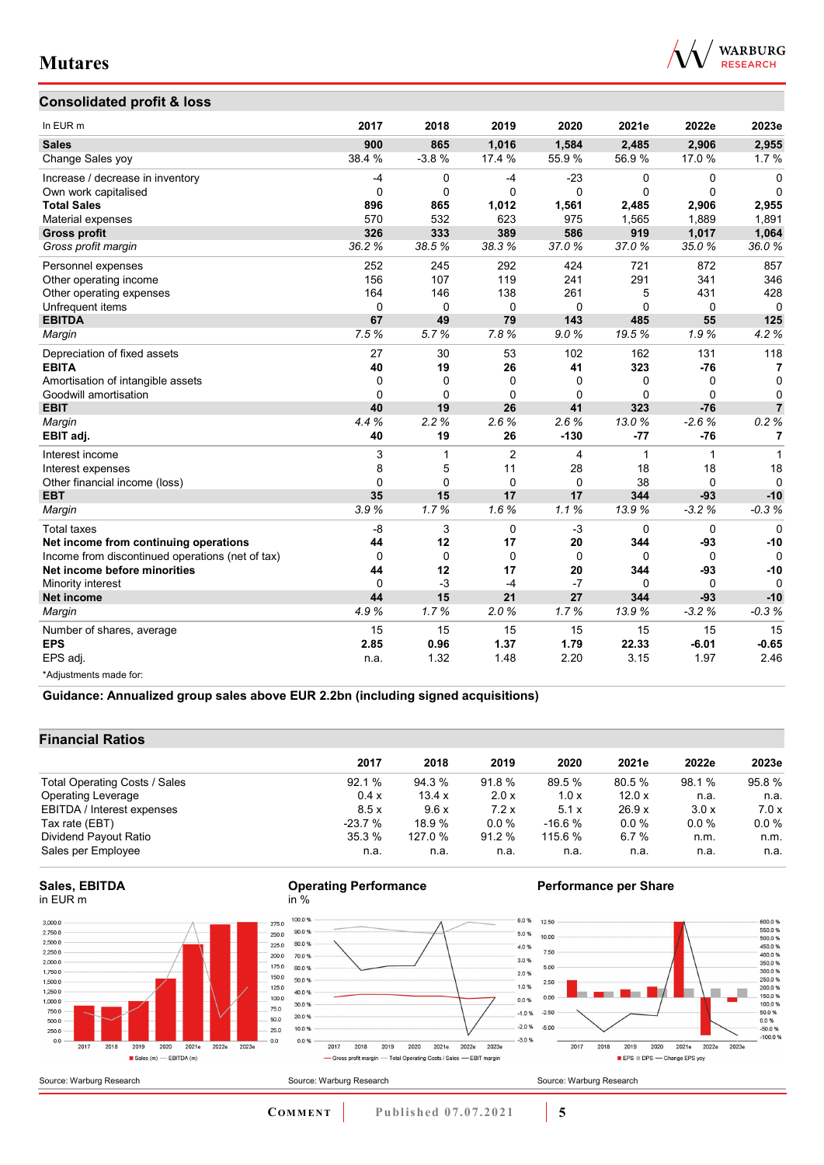

### **Consolidated profit & loss**

| In EUR m                                         | 2017     | 2018     | 2019           | 2020         | 2021e        | 2022e        | 2023e          |
|--------------------------------------------------|----------|----------|----------------|--------------|--------------|--------------|----------------|
| <b>Sales</b>                                     | 900      | 865      | 1,016          | 1,584        | 2,485        | 2,906        | 2,955          |
| Change Sales yoy                                 | 38.4 %   | $-3.8%$  | 17.4 %         | 55.9%        | 56.9%        | 17.0%        | 1.7%           |
| Increase / decrease in inventory                 | $-4$     | 0        | $-4$           | $-23$        | 0            | 0            | $\Omega$       |
| Own work capitalised                             | $\Omega$ | $\Omega$ | $\Omega$       | $\mathbf{0}$ | $\mathbf{0}$ | $\mathbf 0$  | $\Omega$       |
| <b>Total Sales</b>                               | 896      | 865      | 1.012          | 1,561        | 2.485        | 2,906        | 2,955          |
| Material expenses                                | 570      | 532      | 623            | 975          | 1,565        | 1,889        | 1,891          |
| <b>Gross profit</b>                              | 326      | 333      | 389            | 586          | 919          | 1,017        | 1,064          |
| Gross profit margin                              | 36.2%    | 38.5%    | 38.3%          | 37.0%        | 37.0%        | 35.0%        | 36.0%          |
| Personnel expenses                               | 252      | 245      | 292            | 424          | 721          | 872          | 857            |
| Other operating income                           | 156      | 107      | 119            | 241          | 291          | 341          | 346            |
| Other operating expenses                         | 164      | 146      | 138            | 261          | 5            | 431          | 428            |
| Unfrequent items                                 | 0        | 0        | $\mathbf 0$    | $\mathbf 0$  | 0            | 0            | $\Omega$       |
| <b>EBITDA</b>                                    | 67       | 49       | 79             | 143          | 485          | 55           | 125            |
| Margin                                           | 7.5%     | 5.7%     | 7.8%           | 9.0%         | 19.5%        | 1.9%         | 4.2%           |
| Depreciation of fixed assets                     | 27       | 30       | 53             | 102          | 162          | 131          | 118            |
| <b>EBITA</b>                                     | 40       | 19       | 26             | 41           | 323          | $-76$        | 7              |
| Amortisation of intangible assets                | 0        | $\Omega$ | 0              | $\Omega$     | 0            | 0            | 0              |
| Goodwill amortisation                            | $\Omega$ | $\Omega$ | $\Omega$       | $\Omega$     | $\Omega$     | $\Omega$     | $\mathbf 0$    |
| <b>EBIT</b>                                      | 40       | 19       | 26             | 41           | 323          | $-76$        | $\overline{7}$ |
| Margin                                           | 4.4%     | 2.2%     | 2.6%           | 2.6%         | 13.0%        | $-2.6%$      | 0.2%           |
| EBIT adj.                                        | 40       | 19       | 26             | $-130$       | $-77$        | $-76$        | 7              |
| Interest income                                  | 3        | 1        | $\overline{2}$ | 4            | 1            | $\mathbf{1}$ | 1              |
| Interest expenses                                | 8        | 5        | 11             | 28           | 18           | 18           | 18             |
| Other financial income (loss)                    | 0        | $\Omega$ | $\Omega$       | $\Omega$     | 38           | $\Omega$     | $\Omega$       |
| <b>EBT</b>                                       | 35       | 15       | 17             | 17           | 344          | $-93$        | $-10$          |
| Margin                                           | 3.9%     | 1.7%     | 1.6%           | 1.1%         | 13.9%        | $-3.2%$      | $-0.3%$        |
| <b>Total taxes</b>                               | $-8$     | 3        | $\Omega$       | $-3$         | $\Omega$     | 0            | $\Omega$       |
| Net income from continuing operations            | 44       | 12       | 17             | 20           | 344          | -93          | $-10$          |
| Income from discontinued operations (net of tax) | 0        | $\Omega$ | $\mathbf 0$    | $\mathbf 0$  | $\Omega$     | $\Omega$     | $\Omega$       |
| Net income before minorities                     | 44       | 12       | 17             | 20           | 344          | $-93$        | $-10$          |
| Minority interest                                | $\Omega$ | $-3$     | $-4$           | $-7$         | $\Omega$     | $\Omega$     | $\Omega$       |
| <b>Net income</b>                                | 44       | 15       | 21             | 27           | 344          | $-93$        | $-10$          |
| Margin                                           | 4.9%     | 1.7%     | 2.0%           | 1.7%         | 13.9%        | $-3.2%$      | $-0.3%$        |
| Number of shares, average                        | 15       | 15       | 15             | 15           | 15           | 15           | 15             |
| <b>EPS</b>                                       | 2.85     | 0.96     | 1.37           | 1.79         | 22.33        | $-6.01$      | $-0.65$        |
| EPS adj.                                         | n.a.     | 1.32     | 1.48           | 2.20         | 3.15         | 1.97         | 2.46           |
| *Adjustments made for:                           |          |          |                |              |              |              |                |

**Guidance: Annualized group sales above EUR 2.2bn (including signed acquisitions)**

### **Financial Ratios**

|                               | 2017     | 2018    | 2019    | 2020     | 2021e   | 2022e   | 2023e   |
|-------------------------------|----------|---------|---------|----------|---------|---------|---------|
|                               |          |         |         |          |         |         |         |
| Total Operating Costs / Sales | 92.1%    | 94.3 %  | 91.8%   | 89.5 %   | 80.5 %  | 98.1 %  | 95.8%   |
| <b>Operating Leverage</b>     | 0.4x     | 13.4 x  | 2.0 x   | 1.0x     | 12.0x   | n.a.    | n.a.    |
| EBITDA / Interest expenses    | 8.5x     | 9.6x    | 7.2x    | 5.1x     | 26.9x   | 3.0x    | 7.0x    |
| Tax rate (EBT)                | $-23.7%$ | 18.9%   | $0.0\%$ | $-16.6%$ | $0.0\%$ | $0.0\%$ | $0.0\%$ |
| Dividend Payout Ratio         | 35.3 %   | 127.0 % | 91.2%   | 115.6 %  | 6.7%    | n.m.    | n.m.    |
| Sales per Employee            | n.a.     | n.a.    | n.a.    | n.a.     | n.a.    | n.a.    | n.a.    |

#### **Sales, EBITDA** in EUR m







### **Performance per Share**



Source: Warburg Research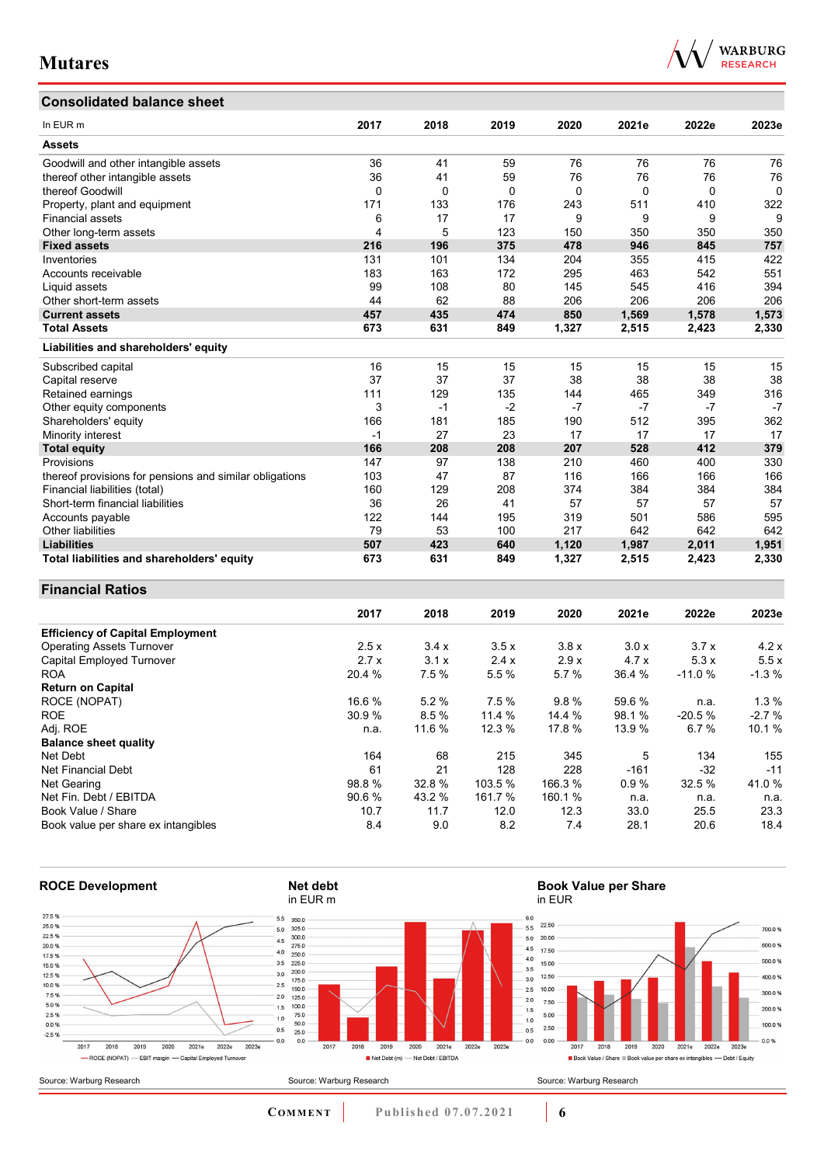## **Consolidated balance sheet**

| In EUR m                                                | 2017     | 2018     | 2019     | 2020     | 2021e    | 2022e    | 2023e |
|---------------------------------------------------------|----------|----------|----------|----------|----------|----------|-------|
| <b>Assets</b>                                           |          |          |          |          |          |          |       |
| Goodwill and other intangible assets                    | 36       | 41       | 59       | 76       | 76       | 76       | 76    |
| thereof other intangible assets                         | 36       | 41       | 59       | 76       | 76       | 76       | 76    |
| thereof Goodwill                                        | $\Omega$ | $\Omega$ | $\Omega$ | $\Omega$ | $\Omega$ | $\Omega$ | 0     |
| Property, plant and equipment                           | 171      | 133      | 176      | 243      | 511      | 410      | 322   |
| <b>Financial assets</b>                                 | 6        | 17       | 17       | 9        | 9        | 9        | 9     |
| Other long-term assets                                  | 4        | 5        | 123      | 150      | 350      | 350      | 350   |
| <b>Fixed assets</b>                                     | 216      | 196      | 375      | 478      | 946      | 845      | 757   |
| Inventories                                             | 131      | 101      | 134      | 204      | 355      | 415      | 422   |
| Accounts receivable                                     | 183      | 163      | 172      | 295      | 463      | 542      | 551   |
| Liquid assets                                           | 99       | 108      | 80       | 145      | 545      | 416      | 394   |
| Other short-term assets                                 | 44       | 62       | 88       | 206      | 206      | 206      | 206   |
| <b>Current assets</b>                                   | 457      | 435      | 474      | 850      | 1,569    | 1,578    | 1,573 |
| <b>Total Assets</b>                                     | 673      | 631      | 849      | 1,327    | 2,515    | 2,423    | 2,330 |
| Liabilities and shareholders' equity                    |          |          |          |          |          |          |       |
| Subscribed capital                                      | 16       | 15       | 15       | 15       | 15       | 15       | 15    |
| Capital reserve                                         | 37       | 37       | 37       | 38       | 38       | 38       | 38    |
| Retained earnings                                       | 111      | 129      | 135      | 144      | 465      | 349      | 316   |
| Other equity components                                 | 3        | $-1$     | $-2$     | $-7$     | $-7$     | $-7$     | $-7$  |
| Shareholders' equity                                    | 166      | 181      | 185      | 190      | 512      | 395      | 362   |
| Minority interest                                       | $-1$     | 27       | 23       | 17       | 17       | 17       | 17    |
| <b>Total equity</b>                                     | 166      | 208      | 208      | 207      | 528      | 412      | 379   |
| Provisions                                              | 147      | 97       | 138      | 210      | 460      | 400      | 330   |
| thereof provisions for pensions and similar obligations | 103      | 47       | 87       | 116      | 166      | 166      | 166   |
| Financial liabilities (total)                           | 160      | 129      | 208      | 374      | 384      | 384      | 384   |
| Short-term financial liabilities                        | 36       | 26       | 41       | 57       | 57       | 57       | 57    |
| Accounts payable                                        | 122      | 144      | 195      | 319      | 501      | 586      | 595   |
| <b>Other liabilities</b>                                | 79       | 53       | 100      | 217      | 642      | 642      | 642   |
| <b>Liabilities</b>                                      | 507      | 423      | 640      | 1,120    | 1,987    | 2,011    | 1,951 |
| Total liabilities and shareholders' equity              | 673      | 631      | 849      | 1,327    | 2,515    | 2.423    | 2,330 |

#### **Financial Ratios**

|                                         | 2017   | 2018   | 2019   | 2020    | 2021e  | 2022e    | 2023e   |
|-----------------------------------------|--------|--------|--------|---------|--------|----------|---------|
| <b>Efficiency of Capital Employment</b> |        |        |        |         |        |          |         |
| <b>Operating Assets Turnover</b>        | 2.5x   | 3.4x   | 3.5x   | 3.8x    | 3.0x   | 3.7x     | 4.2x    |
| Capital Employed Turnover               | 2.7x   | 3.1x   | 2.4x   | 2.9x    | 4.7x   | 5.3x     | 5.5x    |
| <b>ROA</b>                              | 20.4 % | 7.5 %  | 5.5 %  | 5.7 %   | 36.4 % | $-11.0%$ | $-1.3%$ |
| <b>Return on Capital</b>                |        |        |        |         |        |          |         |
| ROCE (NOPAT)                            | 16.6 % | 5.2%   | 7.5%   | 9.8%    | 59.6 % | n.a.     | $1.3\%$ |
| <b>ROE</b>                              | 30.9 % | 8.5%   | 11.4 % | 14.4 %  | 98.1 % | $-20.5%$ | $-2.7%$ |
| Adj. ROE                                | n.a.   | 11.6 % | 12.3 % | 17.8 %  | 13.9 % | 6.7%     | 10.1 %  |
| <b>Balance sheet quality</b>            |        |        |        |         |        |          |         |
| Net Debt                                | 164    | 68     | 215    | 345     | 5      | 134      | 155     |
| Net Financial Debt                      | 61     | 21     | 128    | 228     | $-161$ | $-32$    | $-11$   |
| Net Gearing                             | 98.8%  | 32.8%  | 103.5% | 166.3 % | 0.9%   | 32.5 %   | 41.0%   |
| Net Fin. Debt / EBITDA                  | 90.6%  | 43.2 % | 161.7% | 160.1 % | n.a.   | n.a.     | n.a.    |
| Book Value / Share                      | 10.7   | 11.7   | 12.0   | 12.3    | 33.0   | 25.5     | 23.3    |
| Book value per share ex intangibles     | 8.4    | 9.0    | 8.2    | 7.4     | 28.1   | 20.6     | 18.4    |



**COMMENT** Published 07.07.2021 **6** 

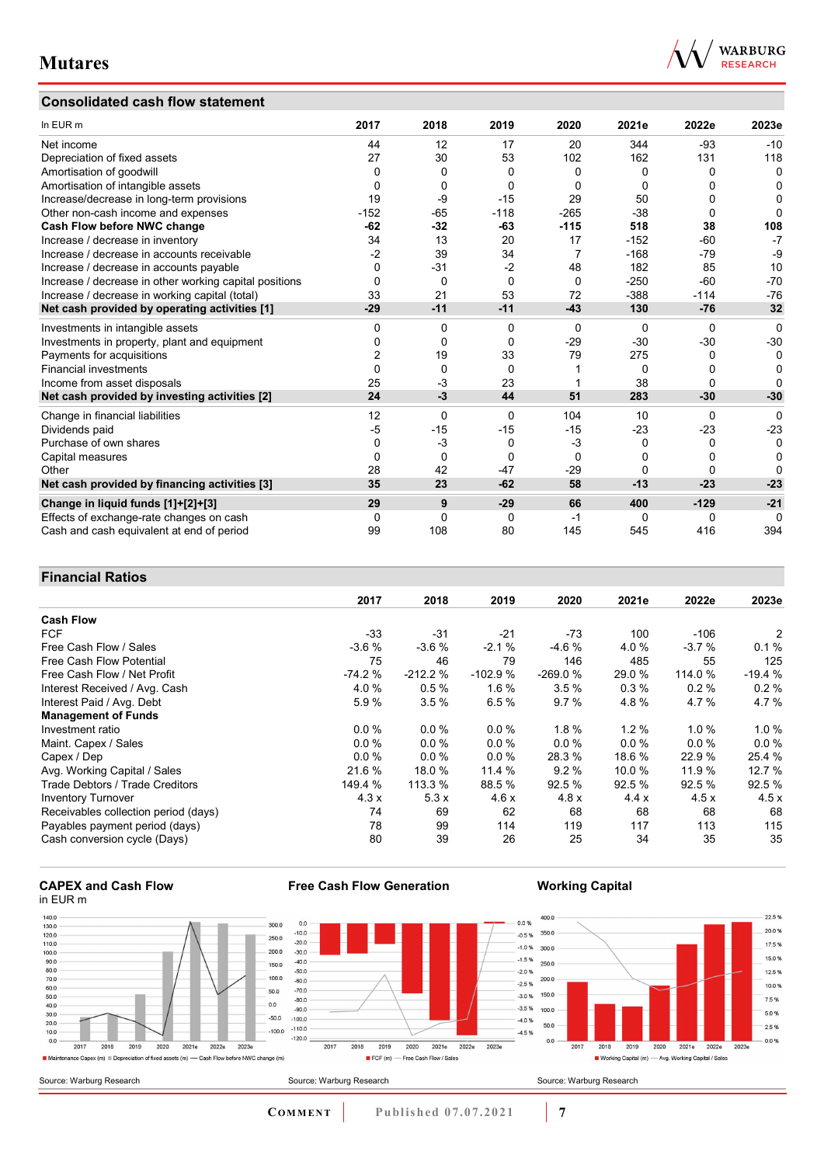### **Consolidated cash flow statement**



| In EUR m                                               | 2017     | 2018     | 2019     | 2020     | 2021e  | 2022e    | 2023e        |
|--------------------------------------------------------|----------|----------|----------|----------|--------|----------|--------------|
| Net income                                             | 44       | 12       | 17       | 20       | 344    | $-93$    | $-10$        |
| Depreciation of fixed assets                           | 27       | 30       | 53       | 102      | 162    | 131      | 118          |
| Amortisation of goodwill                               | $\Omega$ | 0        | $\Omega$ | 0        | 0      | ŋ        | $\mathbf{0}$ |
| Amortisation of intangible assets                      | O        | 0        | $\Omega$ | 0        | 0      | ŋ        | 0            |
| Increase/decrease in long-term provisions              | 19       | -9       | $-15$    | 29       | 50     |          | 0            |
| Other non-cash income and expenses                     | $-152$   | $-65$    | $-118$   | $-265$   | $-38$  | 0        | O            |
| Cash Flow before NWC change                            | $-62$    | $-32$    | -63      | $-115$   | 518    | 38       | 108          |
| Increase / decrease in inventory                       | 34       | 13       | 20       | 17       | $-152$ | -60      | $-7$         |
| Increase / decrease in accounts receivable             | -2       | 39       | 34       | 7        | $-168$ | -79      | $-9$         |
| Increase / decrease in accounts payable                | $\Omega$ | $-31$    | $-2$     | 48       | 182    | 85       | 10           |
| Increase / decrease in other working capital positions | 0        | 0        | $\Omega$ | $\Omega$ | $-250$ | -60      | $-70$        |
| Increase / decrease in working capital (total)         | 33       | 21       | 53       | 72       | $-388$ | $-114$   | $-76$        |
| Net cash provided by operating activities [1]          | $-29$    | $-11$    | $-11$    | $-43$    | 130    | $-76$    | 32           |
| Investments in intangible assets                       | $\Omega$ | 0        | $\Omega$ | $\Omega$ | 0      | $\Omega$ | $\Omega$     |
| Investments in property, plant and equipment           | 0        | 0        | $\Omega$ | $-29$    | $-30$  | $-30$    | $-30$        |
| Payments for acquisitions                              | 2        | 19       | 33       | 79       | 275    | 0        | 0            |
| <b>Financial investments</b>                           | $\Omega$ | $\Omega$ | $\Omega$ |          | 0      | ŋ        | 0            |
| Income from asset disposals                            | 25       | $-3$     | 23       |          | 38     | 0        | O            |
| Net cash provided by investing activities [2]          | 24       | $-3$     | 44       | 51       | 283    | $-30$    | $-30$        |
| Change in financial liabilities                        | 12       | $\Omega$ | $\Omega$ | 104      | 10     | 0        | 0            |
| Dividends paid                                         | -5       | $-15$    | $-15$    | $-15$    | $-23$  | $-23$    | $-23$        |
| Purchase of own shares                                 | 0        | $-3$     | $\Omega$ | $-3$     | 0      | 0        | 0            |
| Capital measures                                       | O        | 0        | $\Omega$ | $\Omega$ | 0      | ŋ        | 0            |
| Other                                                  | 28       | 42       | $-47$    | $-29$    | 0      | 0        | O            |
| Net cash provided by financing activities [3]          | 35       | 23       | $-62$    | 58       | $-13$  | $-23$    | $-23$        |
| Change in liquid funds [1]+[2]+[3]                     | 29       | 9        | $-29$    | 66       | 400    | $-129$   | $-21$        |
| Effects of exchange-rate changes on cash               | 0        | $\Omega$ | $\Omega$ | -1       | 0      | 0        | $\Omega$     |
| Cash and cash equivalent at end of period              | 99       | 108      | 80       | 145      | 545    | 416      | 394          |

### **Financial Ratios**

|                                      | 2017     | 2018      | 2019      | 2020      | 2021e   | 2022e   | 2023e    |
|--------------------------------------|----------|-----------|-----------|-----------|---------|---------|----------|
| <b>Cash Flow</b>                     |          |           |           |           |         |         |          |
| <b>FCF</b>                           | -33      | $-31$     | $-21$     | $-73$     | 100     | $-106$  | 2        |
| Free Cash Flow / Sales               | $-3.6%$  | $-3.6%$   | $-2.1%$   | $-4.6%$   | 4.0 %   | $-3.7%$ | 0.1%     |
| Free Cash Flow Potential             | 75       | 46        | 79        | 146       | 485     | 55      | 125      |
| Free Cash Flow / Net Profit          | $-74.2%$ | $-212.2%$ | $-102.9%$ | $-269.0%$ | 29.0 %  | 114.0 % | $-19.4%$ |
| Interest Received / Avg. Cash        | 4.0%     | 0.5%      | 1.6%      | 3.5%      | 0.3%    | 0.2%    | 0.2%     |
| Interest Paid / Avg. Debt            | 5.9%     | 3.5%      | 6.5%      | 9.7%      | 4.8%    | 4.7%    | 4.7%     |
| <b>Management of Funds</b>           |          |           |           |           |         |         |          |
| Investment ratio                     | $0.0\%$  | $0.0\%$   | 0.0%      | $1.8 \%$  | 1.2%    | 1.0%    | $1.0 \%$ |
| Maint. Capex / Sales                 | $0.0\%$  | $0.0\%$   | $0.0\%$   | $0.0 \%$  | $0.0\%$ | $0.0\%$ | $0.0\%$  |
| Capex / Dep                          | $0.0\%$  | $0.0\%$   | 0.0%      | 28.3 %    | 18.6 %  | 22.9 %  | 25.4 %   |
| Avg. Working Capital / Sales         | 21.6 %   | 18.0 %    | 11.4 %    | 9.2%      | 10.0 %  | 11.9 %  | 12.7 %   |
| Trade Debtors / Trade Creditors      | 149.4 %  | 113.3 %   | 88.5 %    | 92.5%     | 92.5 %  | 92.5%   | 92.5 %   |
| <b>Inventory Turnover</b>            | 4.3x     | 5.3x      | 4.6x      | 4.8x      | 4.4x    | 4.5x    | 4.5x     |
| Receivables collection period (days) | 74       | 69        | 62        | 68        | 68      | 68      | 68       |
| Payables payment period (days)       | 78       | 99        | 114       | 119       | 117     | 113     | 115      |
| Cash conversion cycle (Days)         | 80       | 39        | 26        | 25        | 34      | 35      | 35       |

#### **CAPEX and Cash Flow** in EUR m



**Free Cash Flow Generation**





**COMMENT Published 07.07.2021 <b>7**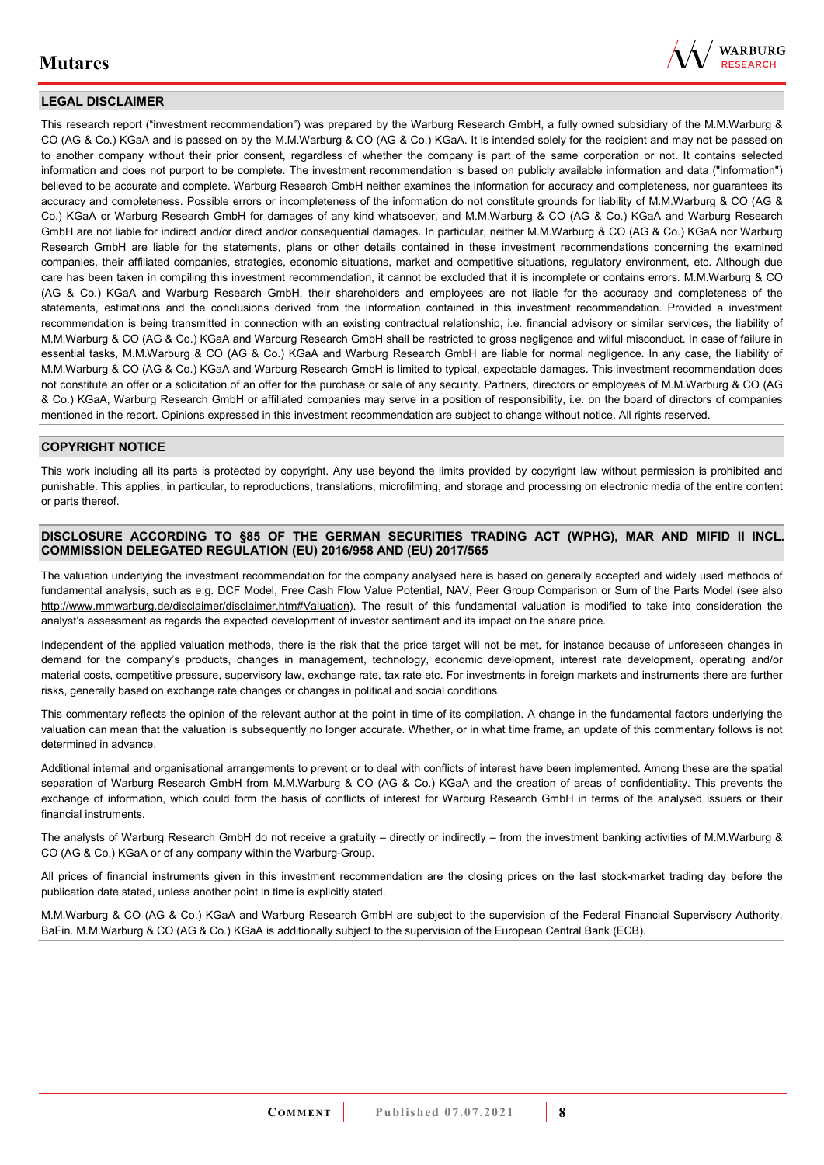

### **LEGAL DISCLAIMER**

This research report ("investment recommendation") was prepared by the Warburg Research GmbH, a fully owned subsidiary of the M.M.Warburg & CO (AG & Co.) KGaA and is passed on by the M.M.Warburg & CO (AG & Co.) KGaA. It is intended solely for the recipient and may not be passed on to another company without their prior consent, regardless of whether the company is part of the same corporation or not. It contains selected information and does not purport to be complete. The investment recommendation is based on publicly available information and data ("information") believed to be accurate and complete. Warburg Research GmbH neither examines the information for accuracy and completeness, nor guarantees its accuracy and completeness. Possible errors or incompleteness of the information do not constitute grounds for liability of M.M.Warburg & CO (AG & Co.) KGaA or Warburg Research GmbH for damages of any kind whatsoever, and M.M.Warburg & CO (AG & Co.) KGaA and Warburg Research GmbH are not liable for indirect and/or direct and/or consequential damages. In particular, neither M.M.Warburg & CO (AG & Co.) KGaA nor Warburg Research GmbH are liable for the statements, plans or other details contained in these investment recommendations concerning the examined companies, their affiliated companies, strategies, economic situations, market and competitive situations, regulatory environment, etc. Although due care has been taken in compiling this investment recommendation, it cannot be excluded that it is incomplete or contains errors. M.M.Warburg & CO (AG & Co.) KGaA and Warburg Research GmbH, their shareholders and employees are not liable for the accuracy and completeness of the statements, estimations and the conclusions derived from the information contained in this investment recommendation. Provided a investment recommendation is being transmitted in connection with an existing contractual relationship, i.e. financial advisory or similar services, the liability of M.M.Warburg & CO (AG & Co.) KGaA and Warburg Research GmbH shall be restricted to gross negligence and wilful misconduct. In case of failure in essential tasks, M.M.Warburg & CO (AG & Co.) KGaA and Warburg Research GmbH are liable for normal negligence. In any case, the liability of M.M.Warburg & CO (AG & Co.) KGaA and Warburg Research GmbH is limited to typical, expectable damages. This investment recommendation does not constitute an offer or a solicitation of an offer for the purchase or sale of any security. Partners, directors or employees of M.M.Warburg & CO (AG & Co.) KGaA, Warburg Research GmbH or affiliated companies may serve in a position of responsibility, i.e. on the board of directors of companies mentioned in the report. Opinions expressed in this investment recommendation are subject to change without notice. All rights reserved.

#### **COPYRIGHT NOTICE**

This work including all its parts is protected by copyright. Any use beyond the limits provided by copyright law without permission is prohibited and punishable. This applies, in particular, to reproductions, translations, microfilming, and storage and processing on electronic media of the entire content or parts thereof.

#### **DISCLOSURE ACCORDING TO §85 OF THE GERMAN SECURITIES TRADING ACT (WPHG), MAR AND MIFID II INCL. COMMISSION DELEGATED REGULATION (EU) 2016/958 AND (EU) 2017/565**

The valuation underlying the investment recommendation for the company analysed here is based on generally accepted and widely used methods of fundamental analysis, such as e.g. DCF Model, Free Cash Flow Value Potential, NAV, Peer Group Comparison or Sum of the Parts Model (see also [http://www.mmwarburg.de/disclaimer/disclaimer.htm#Valuation\)](http://www.mmwarburg.de/disclaimer/disclaimer.htm#Valuation). The result of this fundamental valuation is modified to take into consideration the analyst's assessment as regards the expected development of investor sentiment and its impact on the share price.

Independent of the applied valuation methods, there is the risk that the price target will not be met, for instance because of unforeseen changes in demand for the company's products, changes in management, technology, economic development, interest rate development, operating and/or material costs, competitive pressure, supervisory law, exchange rate, tax rate etc. For investments in foreign markets and instruments there are further risks, generally based on exchange rate changes or changes in political and social conditions.

This commentary reflects the opinion of the relevant author at the point in time of its compilation. A change in the fundamental factors underlying the valuation can mean that the valuation is subsequently no longer accurate. Whether, or in what time frame, an update of this commentary follows is not determined in advance.

Additional internal and organisational arrangements to prevent or to deal with conflicts of interest have been implemented. Among these are the spatial separation of Warburg Research GmbH from M.M.Warburg & CO (AG & Co.) KGaA and the creation of areas of confidentiality. This prevents the exchange of information, which could form the basis of conflicts of interest for Warburg Research GmbH in terms of the analysed issuers or their financial instruments.

The analysts of Warburg Research GmbH do not receive a gratuity – directly or indirectly – from the investment banking activities of M.M.Warburg & CO (AG & Co.) KGaA or of any company within the Warburg-Group.

All prices of financial instruments given in this investment recommendation are the closing prices on the last stock-market trading day before the publication date stated, unless another point in time is explicitly stated.

M.M.Warburg & CO (AG & Co.) KGaA and Warburg Research GmbH are subject to the supervision of the Federal Financial Supervisory Authority, BaFin. M.M.Warburg & CO (AG & Co.) KGaA is additionally subject to the supervision of the European Central Bank (ECB).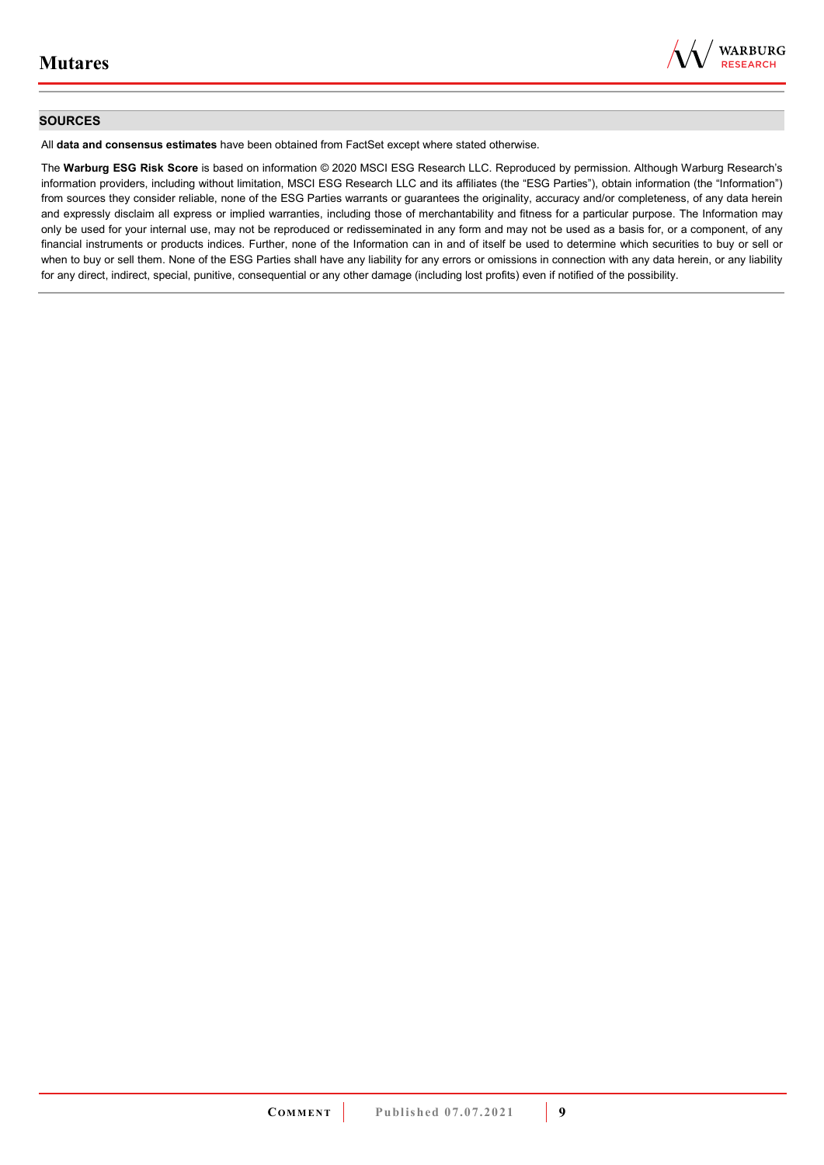

#### **SOURCES**

All **data and consensus estimates** have been obtained from FactSet except where stated otherwise.

The **Warburg ESG Risk Score** is based on information © 2020 MSCI ESG Research LLC. Reproduced by permission. Although Warburg Research's information providers, including without limitation, MSCI ESG Research LLC and its affiliates (the "ESG Parties"), obtain information (the "Information") from sources they consider reliable, none of the ESG Parties warrants or guarantees the originality, accuracy and/or completeness, of any data herein and expressly disclaim all express or implied warranties, including those of merchantability and fitness for a particular purpose. The Information may only be used for your internal use, may not be reproduced or redisseminated in any form and may not be used as a basis for, or a component, of any financial instruments or products indices. Further, none of the Information can in and of itself be used to determine which securities to buy or sell or when to buy or sell them. None of the ESG Parties shall have any liability for any errors or omissions in connection with any data herein, or any liability for any direct, indirect, special, punitive, consequential or any other damage (including lost profits) even if notified of the possibility.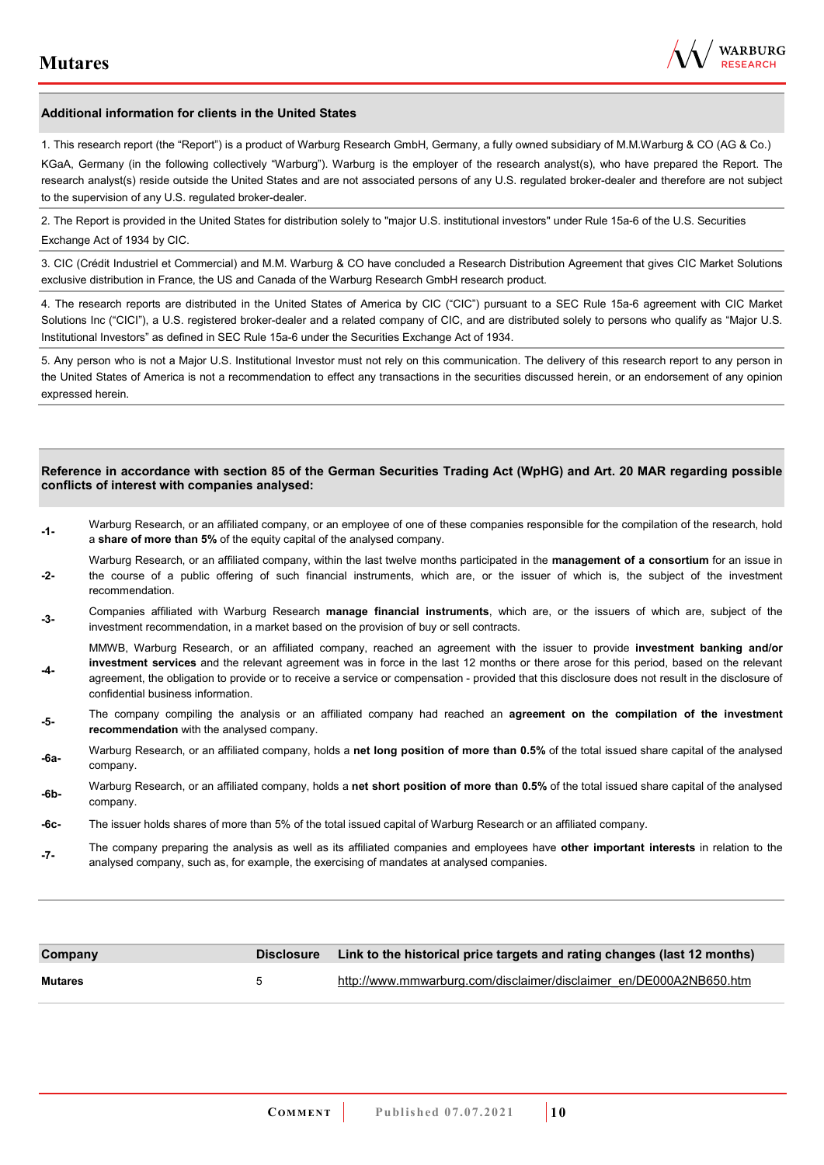

#### **Additional information for clients in the United States**

1. This research report (the "Report") is a product of Warburg Research GmbH, Germany, a fully owned subsidiary of M.M.Warburg & CO (AG & Co.)

KGaA, Germany (in the following collectively "Warburg"). Warburg is the employer of the research analyst(s), who have prepared the Report. The research analyst(s) reside outside the United States and are not associated persons of any U.S. regulated broker-dealer and therefore are not subject to the supervision of any U.S. regulated broker-dealer.

2. The Report is provided in the United States for distribution solely to "major U.S. institutional investors" under Rule 15a-6 of the U.S. Securities Exchange Act of 1934 by CIC.

3. CIC (Crédit Industriel et Commercial) and M.M. Warburg & CO have concluded a Research Distribution Agreement that gives CIC Market Solutions exclusive distribution in France, the US and Canada of the Warburg Research GmbH research product.

4. The research reports are distributed in the United States of America by CIC ("CIC") pursuant to a SEC Rule 15a-6 agreement with CIC Market Solutions Inc ("CICI"), a U.S. registered broker-dealer and a related company of CIC, and are distributed solely to persons who qualify as "Major U.S. Institutional Investors" as defined in SEC Rule 15a-6 under the Securities Exchange Act of 1934.

5. Any person who is not a Major U.S. Institutional Investor must not rely on this communication. The delivery of this research report to any person in the United States of America is not a recommendation to effect any transactions in the securities discussed herein, or an endorsement of any opinion expressed herein.

#### **Reference in accordance with section 85 of the German Securities Trading Act (WpHG) and Art. 20 MAR regarding possible conflicts of interest with companies analysed:**

- **-1-** Warburg Research, or an affiliated company, or an employee of one of these companies responsible for the compilation of the research, hold a **share of more than 5%** of the equity capital of the analysed company.
- **-2-**  Warburg Research, or an affiliated company, within the last twelve months participated in the **management of a consortium** for an issue in the course of a public offering of such financial instruments, which are, or the issuer of which is, the subject of the investment recommendation.
- **-3-** Companies affiliated with Warburg Research **manage financial instruments**, which are, or the issuers of which are, subject of the investment recommendation, in a market based on the provision of buy or sell contracts.

MMWB, Warburg Research, or an affiliated company, reached an agreement with the issuer to provide **investment banking and/or investment services** and the relevant agreement was in force in the last 12 months or there arose for this period, based on the relevant

- **-4**  agreement, the obligation to provide or to receive a service or compensation - provided that this disclosure does not result in the disclosure of confidential business information.
- **-5-** The company compiling the analysis or an affiliated company had reached an **agreement on the compilation of the investment recommendation** with the analysed company.
- **-6a-** Warburg Research, or an affiliated company, holds a **net long position of more than 0.5%** of the total issued share capital of the analysed company.
- **-6b-** Warburg Research, or an affiliated company, holds a **net short position of more than 0.5%** of the total issued share capital of the analysed company.
- **-6c-** The issuer holds shares of more than 5% of the total issued capital of Warburg Research or an affiliated company.
- **-7-** The company preparing the analysis as well as its affiliated companies and employees have **other important interests** in relation to the analysed company, such as, for example, the exercising of mandates at analysed companies.

| Company        |                | Disclosure Link to the historical price targets and rating changes (last 12 months) |
|----------------|----------------|-------------------------------------------------------------------------------------|
| <b>Mutares</b> | $\overline{a}$ | http://www.mmwarburg.com/disclaimer/disclaimer en/DE000A2NB650.htm                  |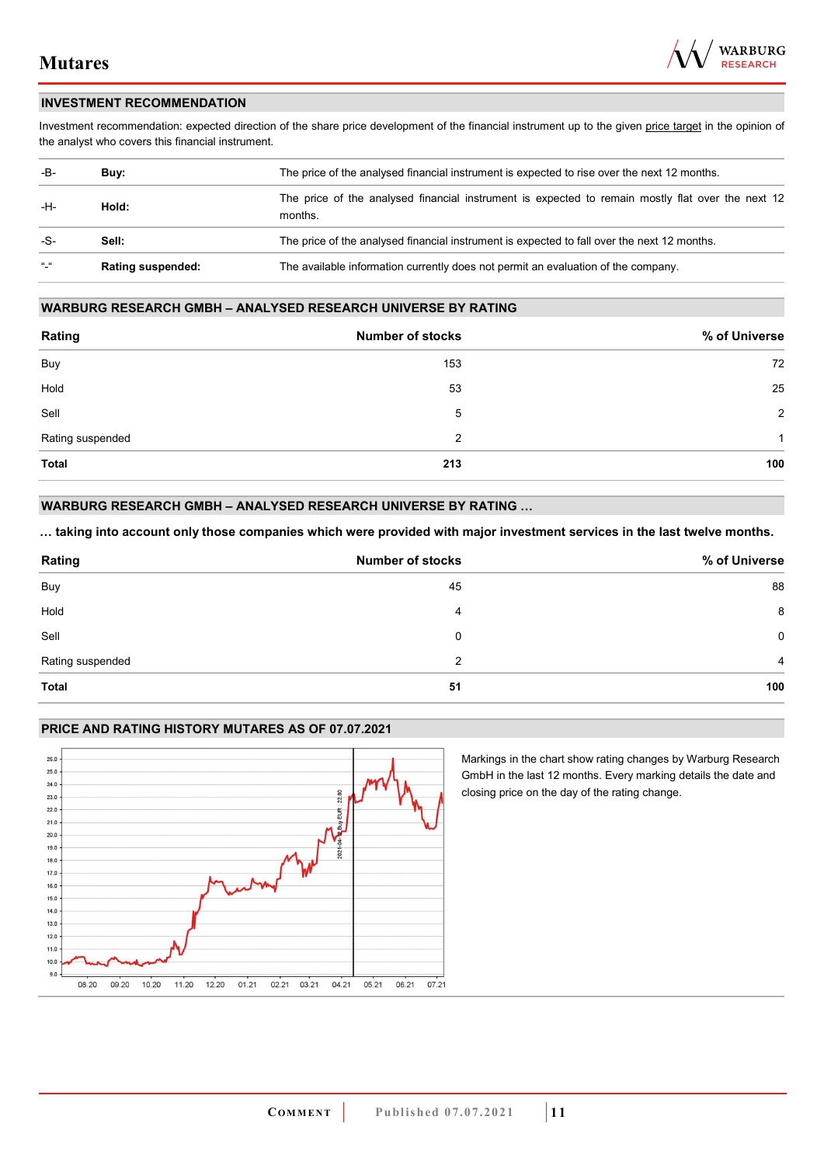

#### **INVESTMENT RECOMMENDATION**

Investment recommendation: expected direction of the share price development of the financial instrument up to the given price target in the opinion of the analyst who covers this financial instrument.

| -B-             | Buy:                     | The price of the analysed financial instrument is expected to rise over the next 12 months.                  |
|-----------------|--------------------------|--------------------------------------------------------------------------------------------------------------|
| -H-             | Hold:                    | The price of the analysed financial instrument is expected to remain mostly flat over the next 12<br>months. |
| -S-             | Sell:                    | The price of the analysed financial instrument is expected to fall over the next 12 months.                  |
| $\frac{16}{16}$ | <b>Rating suspended:</b> | The available information currently does not permit an evaluation of the company.                            |

#### **WARBURG RESEARCH GMBH – ANALYSED RESEARCH UNIVERSE BY RATING**

| Rating           | <b>Number of stocks</b> | % of Universe  |
|------------------|-------------------------|----------------|
| Buy              | 153                     | 72             |
| Hold             | 53                      | 25             |
| Sell             | 5                       | $\overline{2}$ |
| Rating suspended | 2                       | 1              |
| <b>Total</b>     | 213                     | 100            |

### **WARBURG RESEARCH GMBH – ANALYSED RESEARCH UNIVERSE BY RATING …**

**… taking into account only those companies which were provided with major investment services in the last twelve months.** 

| Rating           | <b>Number of stocks</b> | % of Universe  |
|------------------|-------------------------|----------------|
| Buy              | 45                      | 88             |
| Hold             | 4                       | 8              |
| Sell             | 0                       | $\mathbf 0$    |
| Rating suspended | 2                       | $\overline{4}$ |
| Total            | 51                      | 100            |

#### **PRICE AND RATING HISTORY MUTARES AS OF 07.07.2021**



Markings in the chart show rating changes by Warburg Research GmbH in the last 12 months. Every marking details the date and closing price on the day of the rating change.